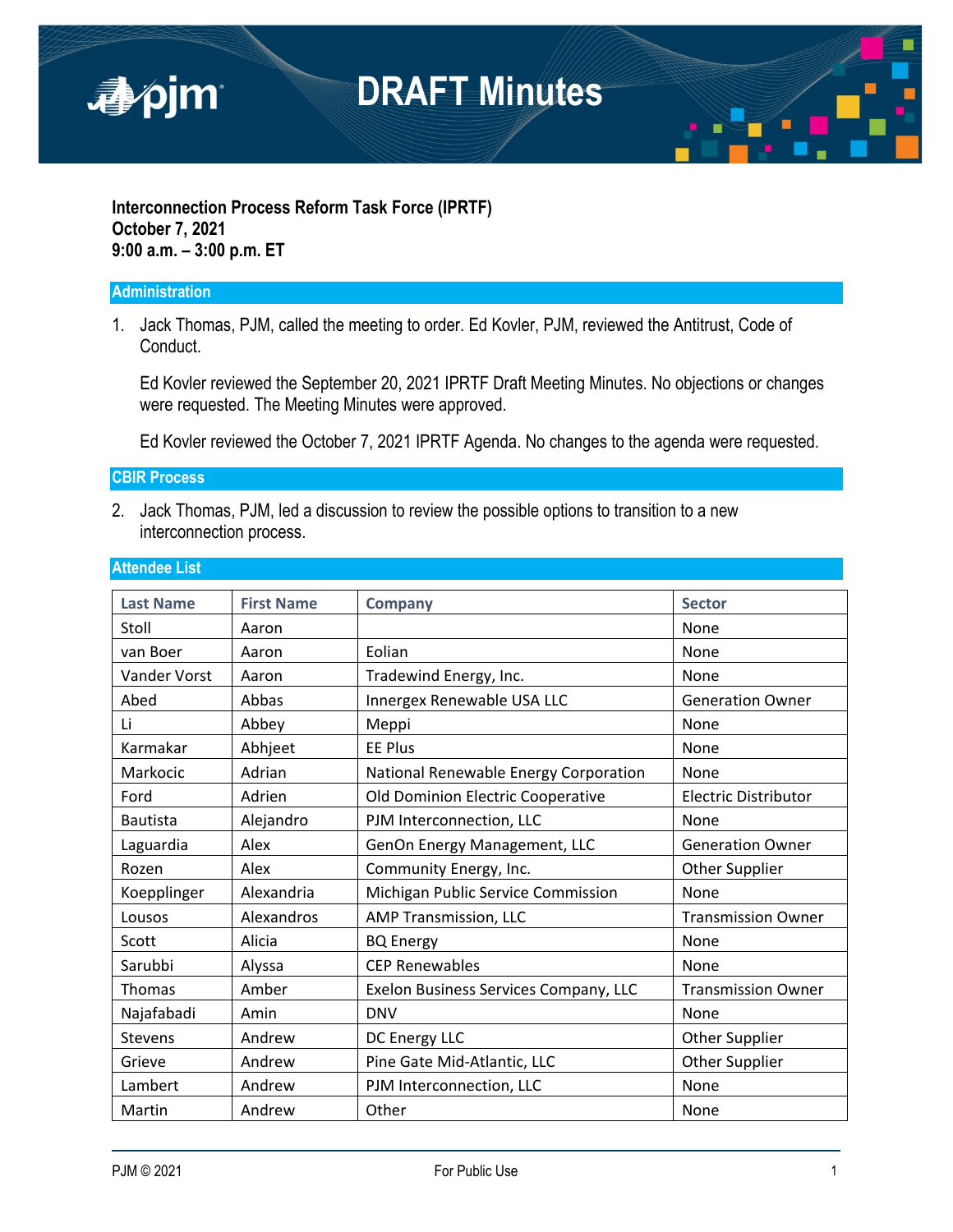

#### **Interconnection Process Reform Task Force (IPRTF) October 7, 2021 9:00 a.m. – 3:00 p.m. ET**

#### **Administration**

1. Jack Thomas, PJM, called the meeting to order. Ed Kovler, PJM, reviewed the Antitrust, Code of Conduct.

Ed Kovler reviewed the September 20, 2021 IPRTF Draft Meeting Minutes. No objections or changes were requested. The Meeting Minutes were approved.

Ed Kovler reviewed the October 7, 2021 IPRTF Agenda. No changes to the agenda were requested.

**CBIR Process** 

2. Jack Thomas, PJM, led a discussion to review the possible options to transition to a new interconnection process.

| <b>Last Name</b> | <b>First Name</b> | <b>Company</b>                        | <b>Sector</b>               |
|------------------|-------------------|---------------------------------------|-----------------------------|
| Stoll            | Aaron             |                                       | None                        |
| van Boer         | Aaron             | Eolian                                | None                        |
| Vander Vorst     | Aaron             | Tradewind Energy, Inc.                | None                        |
| Abed             | Abbas             | Innergex Renewable USA LLC            | <b>Generation Owner</b>     |
| Li               | Abbey             | Meppi                                 | None                        |
| Karmakar         | Abhjeet           | <b>EE Plus</b>                        | None                        |
| Markocic         | Adrian            | National Renewable Energy Corporation | None                        |
| Ford             | Adrien            | Old Dominion Electric Cooperative     | <b>Electric Distributor</b> |
| <b>Bautista</b>  | Alejandro         | PJM Interconnection, LLC              | None                        |
| Laguardia        | Alex              | GenOn Energy Management, LLC          | <b>Generation Owner</b>     |
| Rozen            | Alex              | Community Energy, Inc.                | Other Supplier              |
| Koepplinger      | Alexandria        | Michigan Public Service Commission    | None                        |
| Lousos           | Alexandros        | AMP Transmission, LLC                 | <b>Transmission Owner</b>   |
| Scott            | Alicia            | <b>BQ Energy</b>                      | None                        |
| Sarubbi          | Alyssa            | <b>CEP Renewables</b>                 | None                        |
| <b>Thomas</b>    | Amber             | Exelon Business Services Company, LLC | <b>Transmission Owner</b>   |
| Najafabadi       | Amin              | <b>DNV</b>                            | None                        |
| <b>Stevens</b>   | Andrew            | DC Energy LLC                         | Other Supplier              |
| Grieve           | Andrew            | Pine Gate Mid-Atlantic, LLC           | <b>Other Supplier</b>       |
| Lambert          | Andrew            | PJM Interconnection, LLC              | None                        |
| Martin           | Andrew            | Other                                 | None                        |

#### **Attendee List**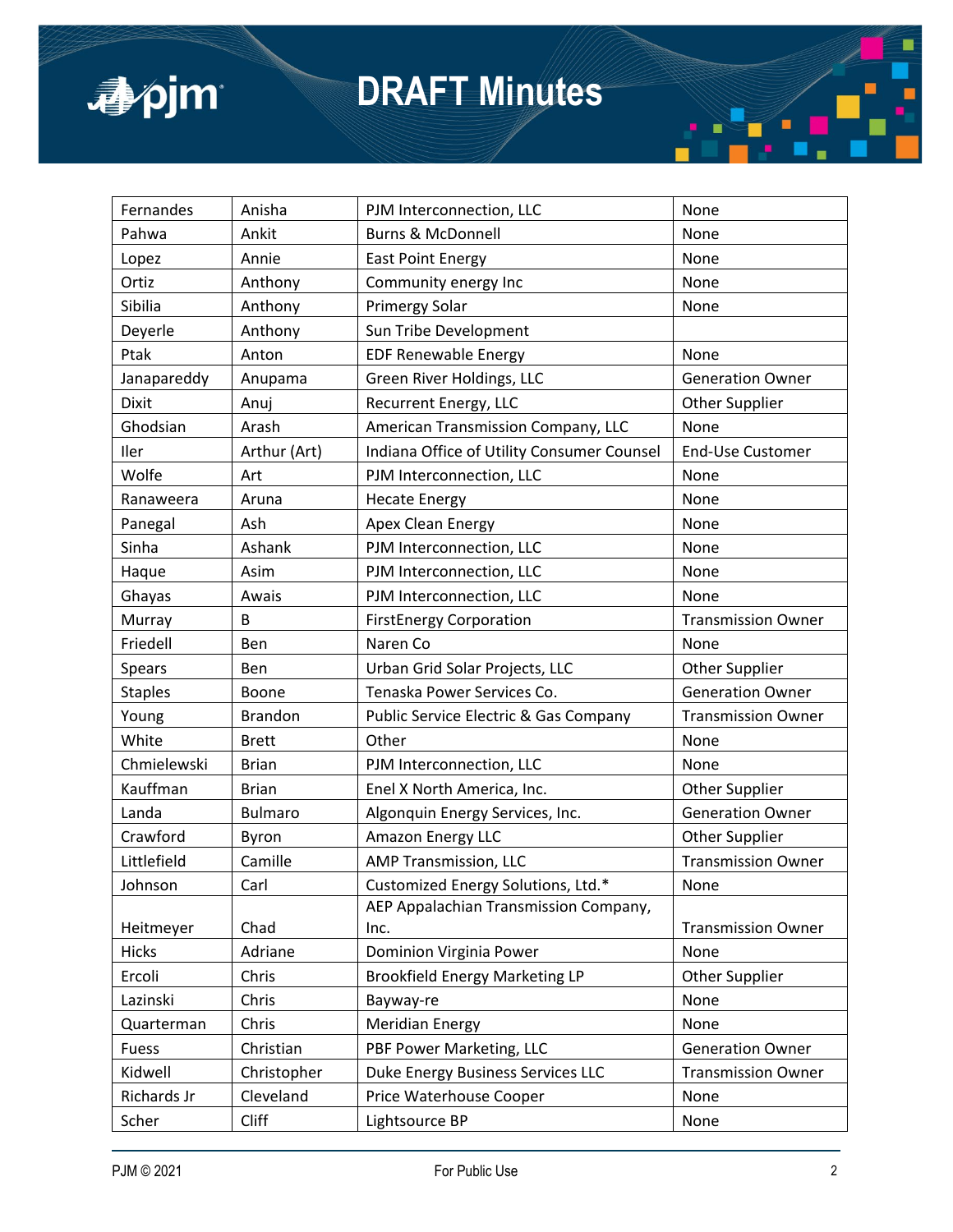

| Fernandes      | Anisha         | PJM Interconnection, LLC                   | None                      |
|----------------|----------------|--------------------------------------------|---------------------------|
| Pahwa          | Ankit          | <b>Burns &amp; McDonnell</b>               | None                      |
| Lopez          | Annie          | <b>East Point Energy</b>                   | None                      |
| Ortiz          | Anthony        | Community energy Inc                       | None                      |
| Sibilia        | Anthony        | Primergy Solar                             | None                      |
| Deyerle        | Anthony        | Sun Tribe Development                      |                           |
| Ptak           | Anton          | <b>EDF Renewable Energy</b>                | None                      |
| Janapareddy    | Anupama        | Green River Holdings, LLC                  | <b>Generation Owner</b>   |
| Dixit          | Anuj           | Recurrent Energy, LLC                      | <b>Other Supplier</b>     |
| Ghodsian       | Arash          | American Transmission Company, LLC         | None                      |
| Iler           | Arthur (Art)   | Indiana Office of Utility Consumer Counsel | <b>End-Use Customer</b>   |
| Wolfe          | Art            | PJM Interconnection, LLC                   | None                      |
| Ranaweera      | Aruna          | <b>Hecate Energy</b>                       | None                      |
| Panegal        | Ash            | Apex Clean Energy                          | None                      |
| Sinha          | Ashank         | PJM Interconnection, LLC                   | None                      |
| Haque          | Asim           | PJM Interconnection, LLC                   | None                      |
| Ghayas         | Awais          | PJM Interconnection, LLC                   | None                      |
| Murray         | B              | <b>FirstEnergy Corporation</b>             | <b>Transmission Owner</b> |
| Friedell       | Ben            | Naren Co                                   | None                      |
| Spears         | Ben            | Urban Grid Solar Projects, LLC             | <b>Other Supplier</b>     |
| <b>Staples</b> | Boone          | Tenaska Power Services Co.                 | <b>Generation Owner</b>   |
| Young          | <b>Brandon</b> | Public Service Electric & Gas Company      | <b>Transmission Owner</b> |
| White          | <b>Brett</b>   | Other                                      | None                      |
| Chmielewski    | <b>Brian</b>   | PJM Interconnection, LLC                   | None                      |
| Kauffman       | <b>Brian</b>   | Enel X North America, Inc.                 | <b>Other Supplier</b>     |
| Landa          | <b>Bulmaro</b> | Algonquin Energy Services, Inc.            | <b>Generation Owner</b>   |
| Crawford       | Byron          | Amazon Energy LLC                          | <b>Other Supplier</b>     |
| Littlefield    | Camille        | AMP Transmission, LLC                      | <b>Transmission Owner</b> |
| Johnson        | Carl           | Customized Energy Solutions, Ltd.*         | None                      |
|                |                | AEP Appalachian Transmission Company,      |                           |
| Heitmeyer      | Chad           | Inc.                                       | <b>Transmission Owner</b> |
| <b>Hicks</b>   | Adriane        | Dominion Virginia Power                    | None                      |
| Ercoli         | Chris          | <b>Brookfield Energy Marketing LP</b>      | Other Supplier            |
| Lazinski       | Chris          | Bayway-re                                  | None                      |
| Quarterman     | Chris          | <b>Meridian Energy</b>                     | None                      |
| Fuess          | Christian      | PBF Power Marketing, LLC                   | <b>Generation Owner</b>   |
| Kidwell        | Christopher    | Duke Energy Business Services LLC          | <b>Transmission Owner</b> |
| Richards Jr    | Cleveland      | Price Waterhouse Cooper                    | None                      |
| Scher          | Cliff          | Lightsource BP                             | None                      |

π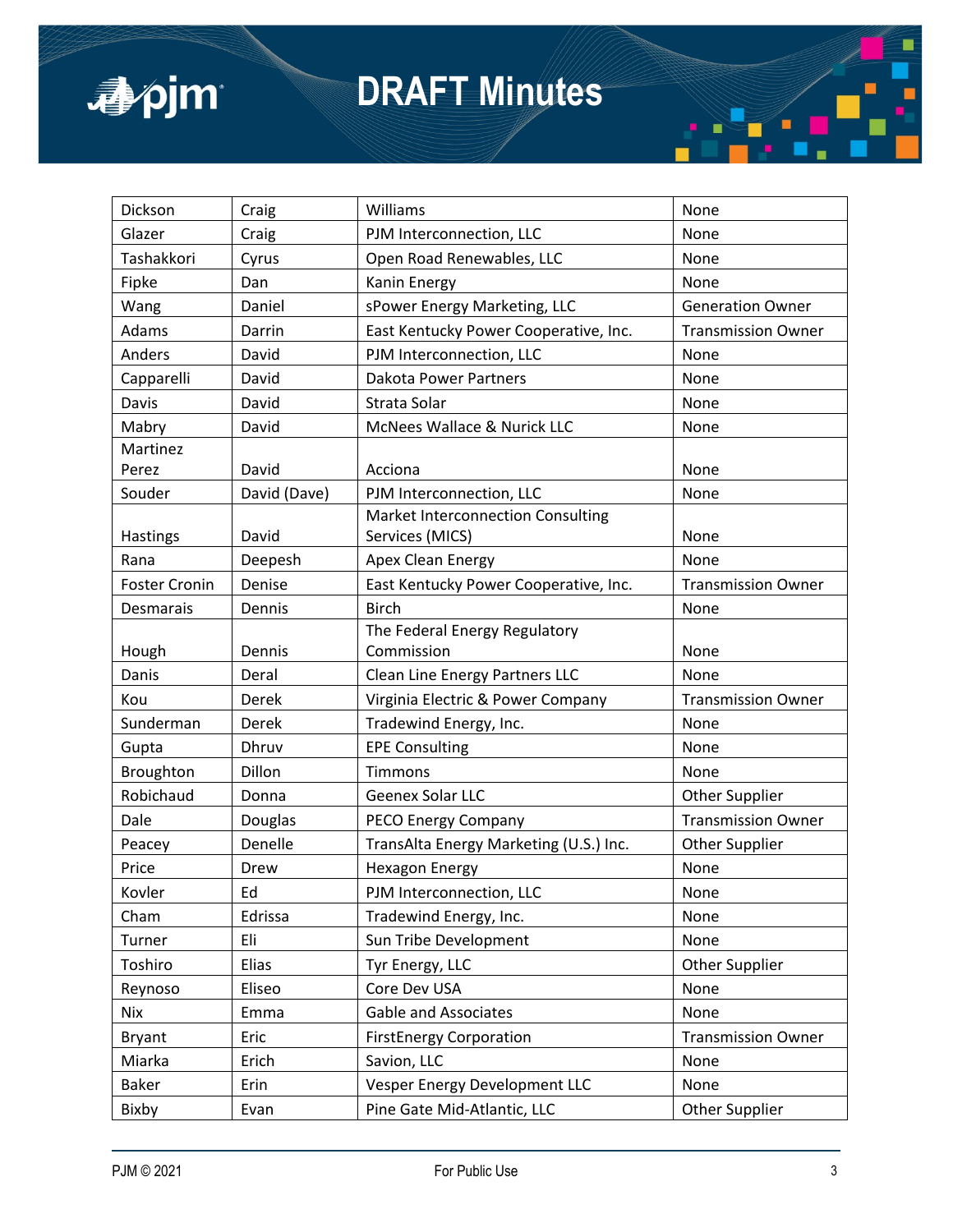

| Dickson              | Craig        | Williams                                    | None                      |
|----------------------|--------------|---------------------------------------------|---------------------------|
| Glazer               | Craig        | PJM Interconnection, LLC                    | None                      |
| Tashakkori           | Cyrus        | Open Road Renewables, LLC                   | None                      |
| Fipke                | Dan          | Kanin Energy                                | None                      |
| Wang                 | Daniel       | sPower Energy Marketing, LLC                | <b>Generation Owner</b>   |
| Adams                | Darrin       | East Kentucky Power Cooperative, Inc.       | <b>Transmission Owner</b> |
| Anders               | David        | PJM Interconnection, LLC                    | None                      |
| Capparelli           | David        | <b>Dakota Power Partners</b>                | None                      |
| Davis                | David        | Strata Solar                                | None                      |
| Mabry                | David        | McNees Wallace & Nurick LLC                 | None                      |
| Martinez             |              |                                             |                           |
| Perez                | David        | Acciona                                     | None                      |
| Souder               | David (Dave) | PJM Interconnection, LLC                    | None                      |
|                      |              | Market Interconnection Consulting           |                           |
| Hastings             | David        | Services (MICS)                             | None                      |
| Rana                 | Deepesh      | Apex Clean Energy                           | None                      |
| <b>Foster Cronin</b> | Denise       | East Kentucky Power Cooperative, Inc.       | <b>Transmission Owner</b> |
| Desmarais            | Dennis       | <b>Birch</b>                                | None                      |
| Hough                | Dennis       | The Federal Energy Regulatory<br>Commission | None                      |
| Danis                | Deral        | Clean Line Energy Partners LLC              | None                      |
| Kou                  | Derek        | Virginia Electric & Power Company           | <b>Transmission Owner</b> |
| Sunderman            | Derek        | Tradewind Energy, Inc.                      | None                      |
| Gupta                | Dhruv        | <b>EPE Consulting</b>                       | None                      |
| Broughton            | Dillon       | Timmons                                     | None                      |
| Robichaud            | Donna        | Geenex Solar LLC                            | <b>Other Supplier</b>     |
| Dale                 | Douglas      | PECO Energy Company                         | <b>Transmission Owner</b> |
| Peacey               | Denelle      | TransAlta Energy Marketing (U.S.) Inc.      | <b>Other Supplier</b>     |
| Price                | Drew         | <b>Hexagon Energy</b>                       | None                      |
| Kovler               | Ed           | PJM Interconnection, LLC                    | None                      |
| Cham                 | Edrissa      | Tradewind Energy, Inc.                      | None                      |
| Turner               | Eli          | Sun Tribe Development                       | None                      |
| Toshiro              | Elias        | Tyr Energy, LLC                             | Other Supplier            |
| Reynoso              | Eliseo       | Core Dev USA                                | None                      |
| <b>Nix</b>           | Emma         | <b>Gable and Associates</b>                 | None                      |
| <b>Bryant</b>        | Eric         | <b>FirstEnergy Corporation</b>              | <b>Transmission Owner</b> |
| Miarka               | Erich        | Savion, LLC                                 | None                      |
| <b>Baker</b>         | Erin         | Vesper Energy Development LLC               | None                      |
| Bixby                | Evan         | Pine Gate Mid-Atlantic, LLC                 | <b>Other Supplier</b>     |

π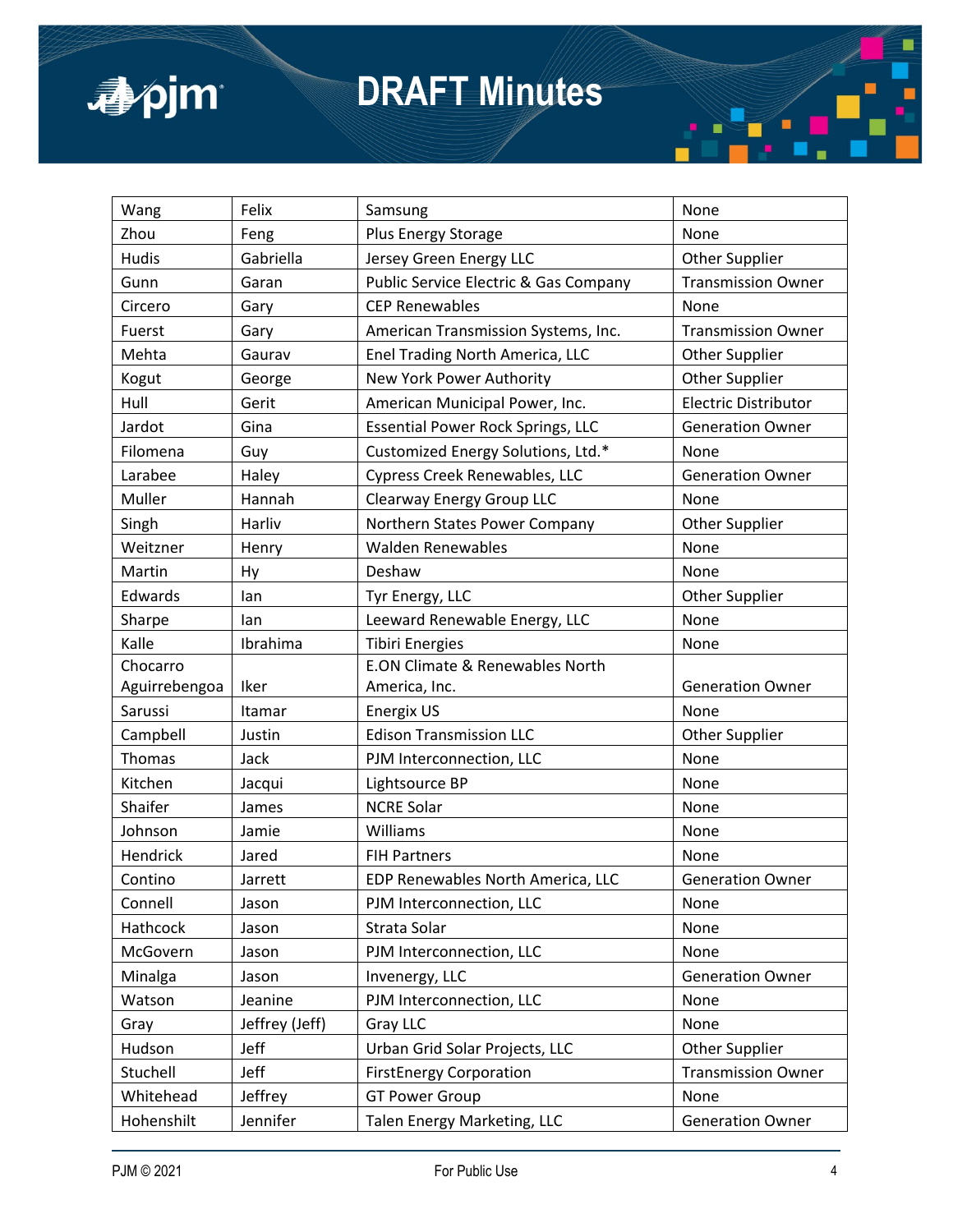

| Wang          | Felix          | Samsung                                  | None                        |
|---------------|----------------|------------------------------------------|-----------------------------|
| Zhou          | Feng           | Plus Energy Storage                      | None                        |
| <b>Hudis</b>  | Gabriella      | Jersey Green Energy LLC                  | <b>Other Supplier</b>       |
| Gunn          | Garan          | Public Service Electric & Gas Company    | <b>Transmission Owner</b>   |
| Circero       | Gary           | <b>CEP Renewables</b>                    | None                        |
| Fuerst        | Gary           | American Transmission Systems, Inc.      | <b>Transmission Owner</b>   |
| Mehta         | Gaurav         | Enel Trading North America, LLC          | <b>Other Supplier</b>       |
| Kogut         | George         | New York Power Authority                 | Other Supplier              |
| Hull          | Gerit          | American Municipal Power, Inc.           | <b>Electric Distributor</b> |
| Jardot        | Gina           | <b>Essential Power Rock Springs, LLC</b> | <b>Generation Owner</b>     |
| Filomena      | Guy            | Customized Energy Solutions, Ltd.*       | None                        |
| Larabee       | Haley          | Cypress Creek Renewables, LLC            | <b>Generation Owner</b>     |
| Muller        | Hannah         | Clearway Energy Group LLC                | None                        |
| Singh         | Harliv         | Northern States Power Company            | <b>Other Supplier</b>       |
| Weitzner      | Henry          | <b>Walden Renewables</b>                 | None                        |
| Martin        | Hy             | Deshaw                                   | None                        |
| Edwards       | lan            | Tyr Energy, LLC                          | <b>Other Supplier</b>       |
| Sharpe        | lan            | Leeward Renewable Energy, LLC            | None                        |
| Kalle         | Ibrahima       | <b>Tibiri Energies</b>                   | None                        |
| Chocarro      |                | E.ON Climate & Renewables North          |                             |
| Aguirrebengoa | Iker           | America, Inc.                            | <b>Generation Owner</b>     |
| Sarussi       | Itamar         | Energix US                               | None                        |
| Campbell      | Justin         | <b>Edison Transmission LLC</b>           | <b>Other Supplier</b>       |
| Thomas        | Jack           | PJM Interconnection, LLC                 | None                        |
| Kitchen       | Jacqui         | Lightsource BP                           | None                        |
| Shaifer       | James          | <b>NCRE Solar</b>                        | None                        |
| Johnson       | Jamie          | Williams                                 | None                        |
| Hendrick      | Jared          | <b>FIH Partners</b>                      | None                        |
| Contino       | Jarrett        | EDP Renewables North America, LLC        | <b>Generation Owner</b>     |
| Connell       | Jason          | PJM Interconnection, LLC                 | None                        |
| Hathcock      | Jason          | Strata Solar                             | None                        |
| McGovern      | Jason          | PJM Interconnection, LLC                 | None                        |
| Minalga       | Jason          | Invenergy, LLC                           | <b>Generation Owner</b>     |
| Watson        | Jeanine        | PJM Interconnection, LLC                 | None                        |
| Gray          | Jeffrey (Jeff) | Gray LLC                                 | None                        |
| Hudson        | Jeff           | Urban Grid Solar Projects, LLC           | <b>Other Supplier</b>       |
| Stuchell      | Jeff           | <b>FirstEnergy Corporation</b>           | <b>Transmission Owner</b>   |
| Whitehead     | Jeffrey        | <b>GT Power Group</b>                    | None                        |
| Hohenshilt    | Jennifer       | Talen Energy Marketing, LLC              | <b>Generation Owner</b>     |

π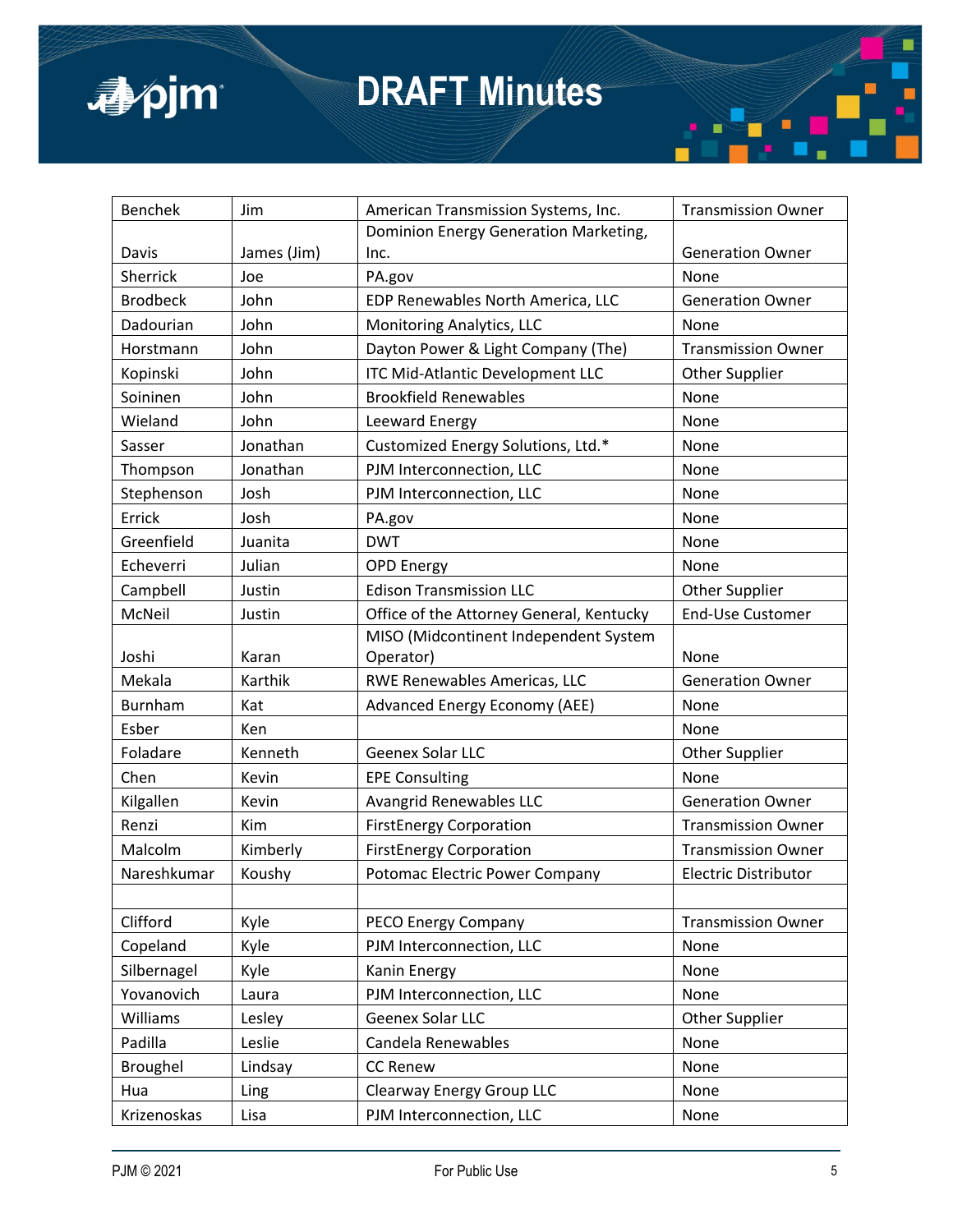

| <b>Benchek</b>  | Jim         | American Transmission Systems, Inc.      | <b>Transmission Owner</b>   |
|-----------------|-------------|------------------------------------------|-----------------------------|
|                 |             | Dominion Energy Generation Marketing,    |                             |
| Davis           | James (Jim) | Inc.                                     | <b>Generation Owner</b>     |
| Sherrick        | Joe         | PA.gov                                   | None                        |
| <b>Brodbeck</b> | John        | EDP Renewables North America, LLC        | <b>Generation Owner</b>     |
| Dadourian       | John        | Monitoring Analytics, LLC                | None                        |
| Horstmann       | John        | Dayton Power & Light Company (The)       | <b>Transmission Owner</b>   |
| Kopinski        | John        | ITC Mid-Atlantic Development LLC         | <b>Other Supplier</b>       |
| Soininen        | John        | <b>Brookfield Renewables</b>             | None                        |
| Wieland         | John        | Leeward Energy                           | None                        |
| Sasser          | Jonathan    | Customized Energy Solutions, Ltd.*       | None                        |
| Thompson        | Jonathan    | PJM Interconnection, LLC                 | None                        |
| Stephenson      | Josh        | PJM Interconnection, LLC                 | None                        |
| Errick          | Josh        | PA.gov                                   | None                        |
| Greenfield      | Juanita     | <b>DWT</b>                               | None                        |
| Echeverri       | Julian      | <b>OPD Energy</b>                        | None                        |
| Campbell        | Justin      | <b>Edison Transmission LLC</b>           | <b>Other Supplier</b>       |
| McNeil          | Justin      | Office of the Attorney General, Kentucky | End-Use Customer            |
|                 |             | MISO (Midcontinent Independent System    |                             |
| Joshi           | Karan       | Operator)                                | None                        |
| Mekala          | Karthik     | RWE Renewables Americas, LLC             | <b>Generation Owner</b>     |
| Burnham         | Kat         | <b>Advanced Energy Economy (AEE)</b>     | None                        |
| Esber           | Ken         |                                          | None                        |
| Foladare        | Kenneth     | Geenex Solar LLC                         | <b>Other Supplier</b>       |
| Chen            | Kevin       | <b>EPE Consulting</b>                    | None                        |
| Kilgallen       | Kevin       | <b>Avangrid Renewables LLC</b>           | <b>Generation Owner</b>     |
| Renzi           | Kim         | <b>FirstEnergy Corporation</b>           | <b>Transmission Owner</b>   |
| Malcolm         | Kimberly    | <b>FirstEnergy Corporation</b>           | <b>Transmission Owner</b>   |
| Nareshkumar     | Koushy      | Potomac Electric Power Company           | <b>Electric Distributor</b> |
|                 |             |                                          |                             |
| Clifford        | Kyle        | PECO Energy Company                      | <b>Transmission Owner</b>   |
| Copeland        | Kyle        | PJM Interconnection, LLC                 | None                        |
| Silbernagel     | Kyle        | Kanin Energy                             | None                        |
| Yovanovich      | Laura       | PJM Interconnection, LLC                 | None                        |
| Williams        | Lesley      | Geenex Solar LLC                         | Other Supplier              |
| Padilla         | Leslie      | Candela Renewables                       | None                        |
| Broughel        | Lindsay     | <b>CC Renew</b>                          | None                        |
| Hua             | Ling        | Clearway Energy Group LLC                | None                        |
| Krizenoskas     | Lisa        | PJM Interconnection, LLC                 | None                        |

π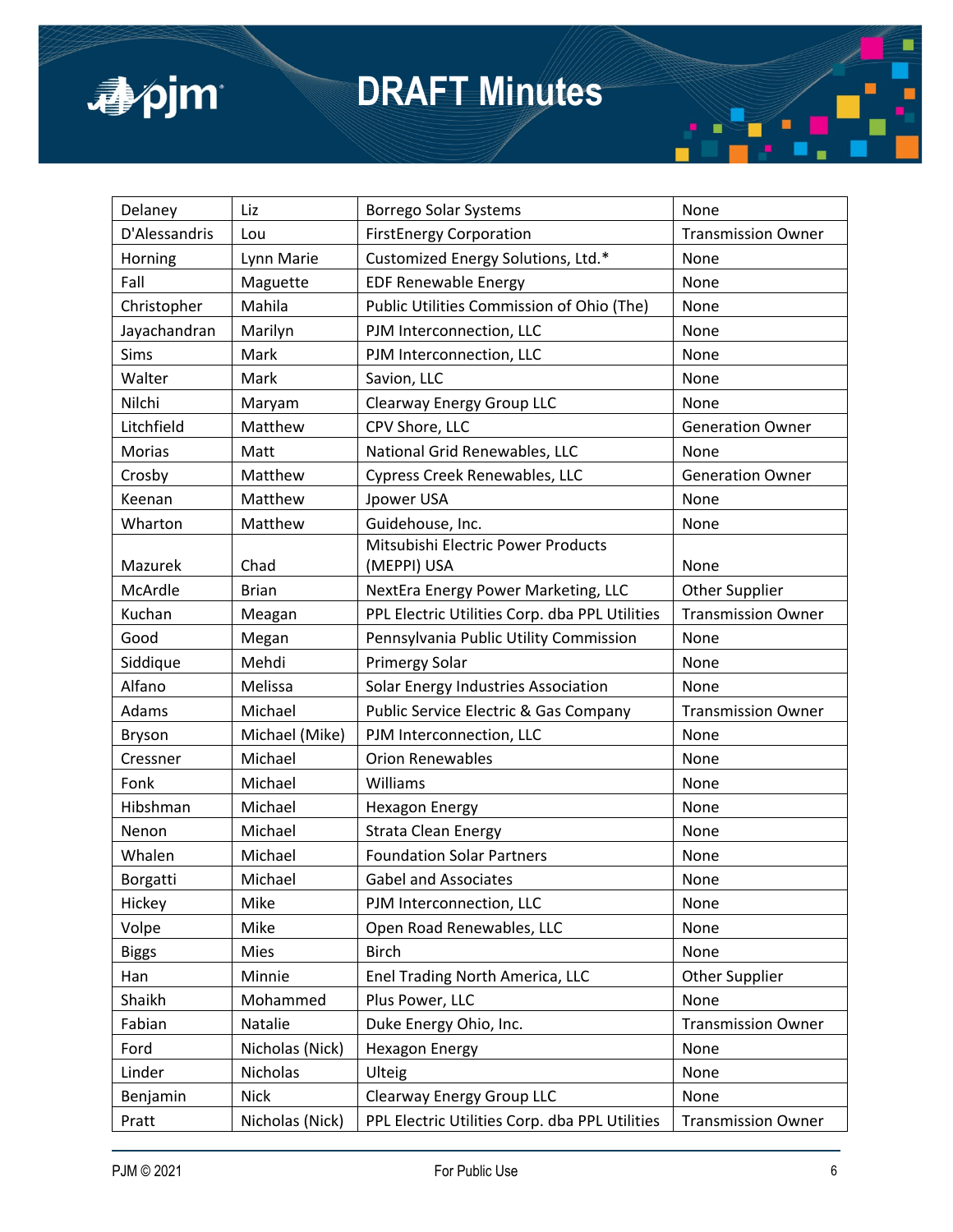

| Delaney       | Liz             | Borrego Solar Systems                            | None                      |
|---------------|-----------------|--------------------------------------------------|---------------------------|
| D'Alessandris | Lou             | <b>FirstEnergy Corporation</b>                   | <b>Transmission Owner</b> |
| Horning       | Lynn Marie      | Customized Energy Solutions, Ltd.*               | None                      |
| Fall          | Maguette        | <b>EDF Renewable Energy</b>                      | None                      |
| Christopher   | Mahila          | Public Utilities Commission of Ohio (The)        | None                      |
| Jayachandran  | Marilyn         | PJM Interconnection, LLC                         | None                      |
| Sims          | Mark            | PJM Interconnection, LLC                         | None                      |
| Walter        | Mark            | Savion, LLC                                      | None                      |
| Nilchi        | Maryam          | <b>Clearway Energy Group LLC</b>                 | None                      |
| Litchfield    | Matthew         | CPV Shore, LLC                                   | <b>Generation Owner</b>   |
| Morias        | Matt            | National Grid Renewables, LLC                    | None                      |
| Crosby        | Matthew         | Cypress Creek Renewables, LLC                    | <b>Generation Owner</b>   |
| Keenan        | Matthew         | Jpower USA                                       | None                      |
| Wharton       | Matthew         | Guidehouse, Inc.                                 | None                      |
|               |                 | Mitsubishi Electric Power Products               |                           |
| Mazurek       | Chad            | (MEPPI) USA                                      | None                      |
| McArdle       | <b>Brian</b>    | NextEra Energy Power Marketing, LLC              | <b>Other Supplier</b>     |
| Kuchan        | Meagan          | PPL Electric Utilities Corp. dba PPL Utilities   | <b>Transmission Owner</b> |
| Good          | Megan           | Pennsylvania Public Utility Commission           | None                      |
| Siddique      | Mehdi           | <b>Primergy Solar</b>                            | None                      |
| Alfano        | Melissa         | Solar Energy Industries Association              | None                      |
| Adams         | Michael         | <b>Public Service Electric &amp; Gas Company</b> | <b>Transmission Owner</b> |
| <b>Bryson</b> | Michael (Mike)  | PJM Interconnection, LLC                         | None                      |
| Cressner      | Michael         | <b>Orion Renewables</b>                          | None                      |
| Fonk          | Michael         | Williams                                         | None                      |
| Hibshman      | Michael         | <b>Hexagon Energy</b>                            | None                      |
| Nenon         | Michael         | <b>Strata Clean Energy</b>                       | None                      |
| Whalen        | Michael         | <b>Foundation Solar Partners</b>                 | None                      |
| Borgatti      | Michael         | <b>Gabel and Associates</b>                      | None                      |
| Hickey        | Mike            | PJM Interconnection, LLC                         | None                      |
| Volpe         | Mike            | Open Road Renewables, LLC                        | None                      |
| <b>Biggs</b>  | Mies            | <b>Birch</b>                                     | None                      |
| Han           | Minnie          | Enel Trading North America, LLC                  | <b>Other Supplier</b>     |
| Shaikh        | Mohammed        | Plus Power, LLC                                  | None                      |
| Fabian        | Natalie         | Duke Energy Ohio, Inc.                           | <b>Transmission Owner</b> |
| Ford          | Nicholas (Nick) | <b>Hexagon Energy</b>                            | None                      |
| Linder        | Nicholas        | Ulteig                                           | None                      |
| Benjamin      | <b>Nick</b>     | Clearway Energy Group LLC                        | None                      |
| Pratt         | Nicholas (Nick) | PPL Electric Utilities Corp. dba PPL Utilities   | <b>Transmission Owner</b> |

π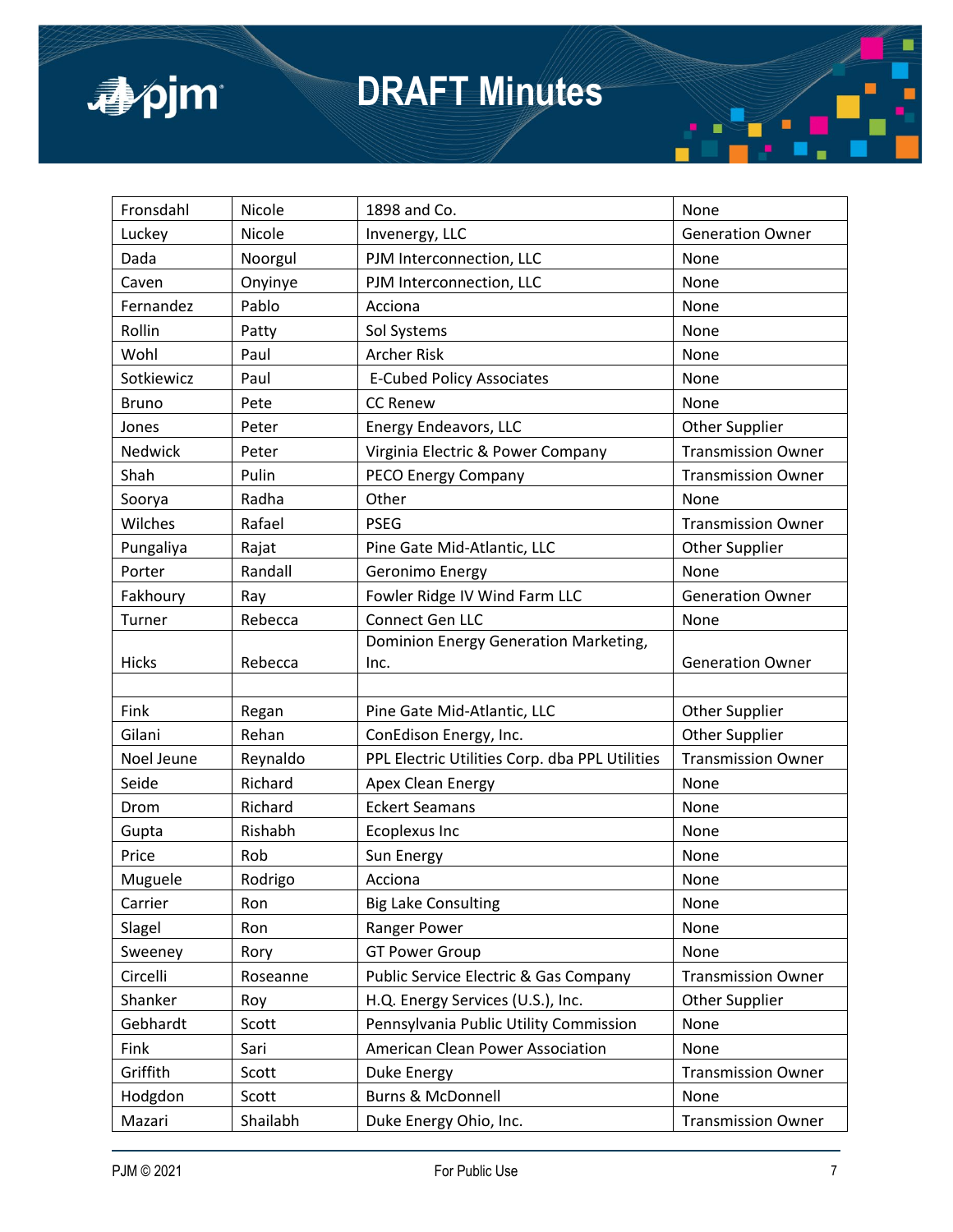

| Fronsdahl    | Nicole   | 1898 and Co.                                     | None                      |
|--------------|----------|--------------------------------------------------|---------------------------|
| Luckey       | Nicole   | Invenergy, LLC                                   | <b>Generation Owner</b>   |
| Dada         | Noorgul  | PJM Interconnection, LLC                         | None                      |
| Caven        | Onyinye  | PJM Interconnection, LLC                         | None                      |
| Fernandez    | Pablo    | Acciona                                          | None                      |
| Rollin       | Patty    | Sol Systems                                      | None                      |
| Wohl         | Paul     | <b>Archer Risk</b>                               | None                      |
| Sotkiewicz   | Paul     | <b>E-Cubed Policy Associates</b>                 | None                      |
| <b>Bruno</b> | Pete     | <b>CC Renew</b>                                  | None                      |
| Jones        | Peter    | Energy Endeavors, LLC                            | <b>Other Supplier</b>     |
| Nedwick      | Peter    | Virginia Electric & Power Company                | <b>Transmission Owner</b> |
| Shah         | Pulin    | PECO Energy Company                              | <b>Transmission Owner</b> |
| Soorya       | Radha    | Other                                            | None                      |
| Wilches      | Rafael   | <b>PSEG</b>                                      | <b>Transmission Owner</b> |
| Pungaliya    | Rajat    | Pine Gate Mid-Atlantic, LLC                      | <b>Other Supplier</b>     |
| Porter       | Randall  | Geronimo Energy                                  | None                      |
| Fakhoury     | Ray      | Fowler Ridge IV Wind Farm LLC                    | <b>Generation Owner</b>   |
| Turner       | Rebecca  | Connect Gen LLC                                  | None                      |
|              |          | Dominion Energy Generation Marketing,            |                           |
| <b>Hicks</b> | Rebecca  | Inc.                                             | <b>Generation Owner</b>   |
|              |          |                                                  |                           |
| Fink         | Regan    | Pine Gate Mid-Atlantic, LLC                      | <b>Other Supplier</b>     |
| Gilani       | Rehan    | ConEdison Energy, Inc.                           | Other Supplier            |
| Noel Jeune   | Reynaldo | PPL Electric Utilities Corp. dba PPL Utilities   | <b>Transmission Owner</b> |
| Seide        | Richard  | Apex Clean Energy                                | None                      |
| Drom         | Richard  | <b>Eckert Seamans</b>                            | None                      |
| Gupta        | Rishabh  | <b>Ecoplexus Inc</b>                             | None                      |
| Price        | Rob      | Sun Energy                                       | None                      |
| Muguele      | Rodrigo  | Acciona                                          | None                      |
| Carrier      | Ron      | <b>Big Lake Consulting</b>                       | None                      |
| Slagel       | Ron      | Ranger Power                                     | None                      |
| Sweeney      | Rory     | <b>GT Power Group</b>                            | None                      |
| Circelli     | Roseanne | <b>Public Service Electric &amp; Gas Company</b> | <b>Transmission Owner</b> |
| Shanker      | Roy      | H.Q. Energy Services (U.S.), Inc.                | Other Supplier            |
| Gebhardt     | Scott    | Pennsylvania Public Utility Commission           | None                      |
| Fink         | Sari     | American Clean Power Association                 | None                      |
| Griffith     | Scott    | Duke Energy                                      | <b>Transmission Owner</b> |
| Hodgdon      | Scott    | Burns & McDonnell                                | None                      |
| Mazari       | Shailabh | Duke Energy Ohio, Inc.                           | <b>Transmission Owner</b> |

π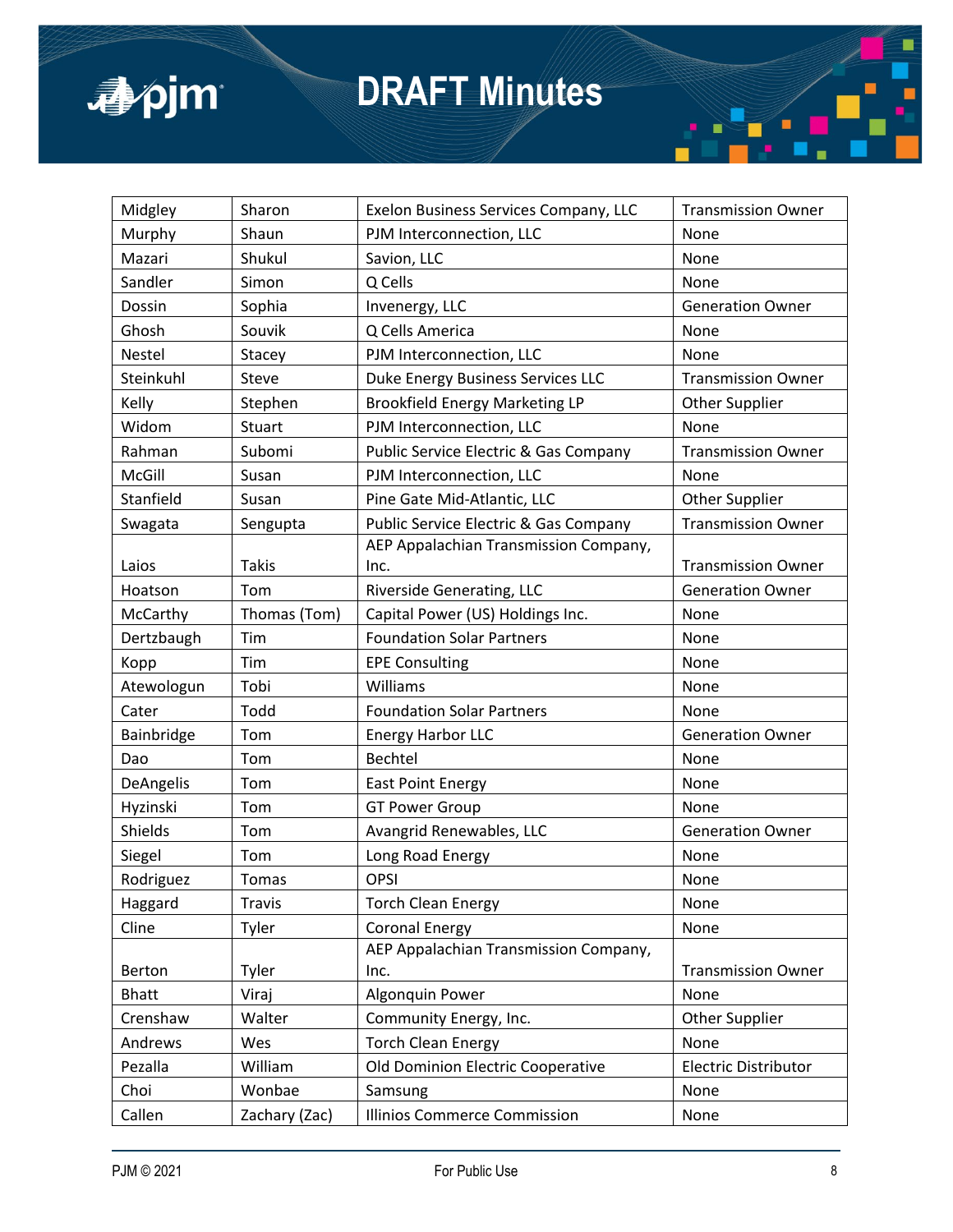

| Midgley       | Sharon        | Exelon Business Services Company, LLC | <b>Transmission Owner</b> |
|---------------|---------------|---------------------------------------|---------------------------|
| Murphy        | Shaun         | PJM Interconnection, LLC              | None                      |
| Mazari        | Shukul        | Savion, LLC                           | None                      |
| Sandler       | Simon         | Q Cells                               | None                      |
| Dossin        | Sophia        | Invenergy, LLC                        | <b>Generation Owner</b>   |
| Ghosh         | Souvik        | Q Cells America                       | None                      |
| Nestel        | Stacey        | PJM Interconnection, LLC              | None                      |
| Steinkuhl     | Steve         | Duke Energy Business Services LLC     | <b>Transmission Owner</b> |
| Kelly         | Stephen       | <b>Brookfield Energy Marketing LP</b> | <b>Other Supplier</b>     |
| Widom         | <b>Stuart</b> | PJM Interconnection, LLC              | None                      |
| Rahman        | Subomi        | Public Service Electric & Gas Company | <b>Transmission Owner</b> |
| McGill        | Susan         | PJM Interconnection, LLC              | None                      |
| Stanfield     | Susan         | Pine Gate Mid-Atlantic, LLC           | <b>Other Supplier</b>     |
| Swagata       | Sengupta      | Public Service Electric & Gas Company | <b>Transmission Owner</b> |
|               |               | AEP Appalachian Transmission Company, |                           |
| Laios         | <b>Takis</b>  | Inc.                                  | <b>Transmission Owner</b> |
| Hoatson       | Tom           | Riverside Generating, LLC             | <b>Generation Owner</b>   |
| McCarthy      | Thomas (Tom)  | Capital Power (US) Holdings Inc.      | None                      |
| Dertzbaugh    | Tim           | <b>Foundation Solar Partners</b>      | None                      |
| Kopp          | Tim           | <b>EPE Consulting</b>                 | None                      |
| Atewologun    | Tobi          | Williams                              | None                      |
| Cater         | Todd          | <b>Foundation Solar Partners</b>      | None                      |
| Bainbridge    | Tom           | <b>Energy Harbor LLC</b>              | <b>Generation Owner</b>   |
| Dao           | Tom           | Bechtel                               | None                      |
| DeAngelis     | Tom           | <b>East Point Energy</b>              | None                      |
| Hyzinski      | Tom           | <b>GT Power Group</b>                 | None                      |
| Shields       | Tom           | Avangrid Renewables, LLC              | <b>Generation Owner</b>   |
| Siegel        | Tom           | Long Road Energy                      | None                      |
| Rodriguez     | Tomas         | OPSI                                  | None                      |
| Haggard       | <b>Travis</b> | <b>Torch Clean Energy</b>             | None                      |
| Cline         | Tyler         | <b>Coronal Energy</b>                 | None                      |
|               |               | AEP Appalachian Transmission Company, |                           |
| <b>Berton</b> | Tyler         | Inc.                                  | <b>Transmission Owner</b> |
| <b>Bhatt</b>  | Viraj         | Algonquin Power                       | None                      |
| Crenshaw      | Walter        | Community Energy, Inc.                | <b>Other Supplier</b>     |
| Andrews       | Wes           | <b>Torch Clean Energy</b>             | None                      |
| Pezalla       | William       | Old Dominion Electric Cooperative     | Electric Distributor      |
| Choi          | Wonbae        | Samsung                               | None                      |
| Callen        | Zachary (Zac) | <b>Illinios Commerce Commission</b>   | None                      |

π